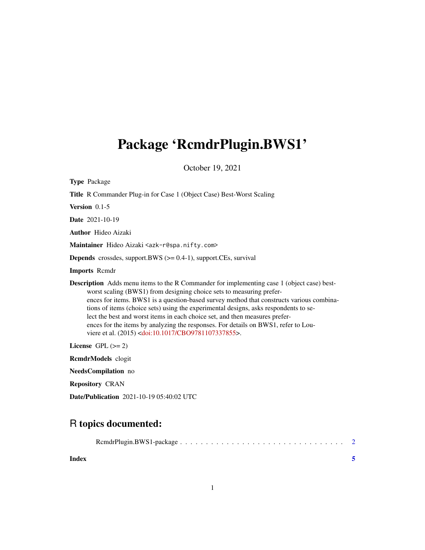# <span id="page-0-0"></span>Package 'RcmdrPlugin.BWS1'

October 19, 2021

| <b>Type Package</b>                                                                                                                                                                                                                                                                                                                                                                                                                                                                                                                                                                                        |
|------------------------------------------------------------------------------------------------------------------------------------------------------------------------------------------------------------------------------------------------------------------------------------------------------------------------------------------------------------------------------------------------------------------------------------------------------------------------------------------------------------------------------------------------------------------------------------------------------------|
| Title R Commander Plug-in for Case 1 (Object Case) Best-Worst Scaling                                                                                                                                                                                                                                                                                                                                                                                                                                                                                                                                      |
| Version $0.1-5$                                                                                                                                                                                                                                                                                                                                                                                                                                                                                                                                                                                            |
| <b>Date</b> 2021-10-19                                                                                                                                                                                                                                                                                                                                                                                                                                                                                                                                                                                     |
| <b>Author</b> Hideo Aizaki                                                                                                                                                                                                                                                                                                                                                                                                                                                                                                                                                                                 |
| Maintainer Hideo Aizaki <azk-r@spa.nifty.com></azk-r@spa.nifty.com>                                                                                                                                                                                                                                                                                                                                                                                                                                                                                                                                        |
| <b>Depends</b> crossdes, support.BWS $(>= 0.4-1)$ , support.CEs, survival                                                                                                                                                                                                                                                                                                                                                                                                                                                                                                                                  |
| <b>Imports</b> Remdr                                                                                                                                                                                                                                                                                                                                                                                                                                                                                                                                                                                       |
| <b>Description</b> Adds menu items to the R Commander for implementing case 1 (object case) best-<br>worst scaling (BWS1) from designing choice sets to measuring prefer-<br>ences for items. BWS1 is a question-based survey method that constructs various combina-<br>tions of items (choice sets) using the experimental designs, asks respondents to se-<br>lect the best and worst items in each choice set, and then measures prefer-<br>ences for the items by analyzing the responses. For details on BWS1, refer to Lou-<br>viere et al. (2015) <doi:10.1017 cbo9781107337855="">.</doi:10.1017> |
| License GPL $(>= 2)$                                                                                                                                                                                                                                                                                                                                                                                                                                                                                                                                                                                       |
| <b>RemdrModels</b> clogit                                                                                                                                                                                                                                                                                                                                                                                                                                                                                                                                                                                  |
| NeedsCompilation no                                                                                                                                                                                                                                                                                                                                                                                                                                                                                                                                                                                        |
| <b>Repository CRAN</b>                                                                                                                                                                                                                                                                                                                                                                                                                                                                                                                                                                                     |

R topics documented:

Date/Publication 2021-10-19 05:40:02 UTC

|--|--|--|--|--|--|--|--|--|--|--|--|--|--|--|--|--|--|--|--|--|--|--|--|--|--|--|

**Index** [5](#page-4-0). The second state of the second state of the second state of the second state of the second state of the second state of the second state of the second state of the second state of the second state of the second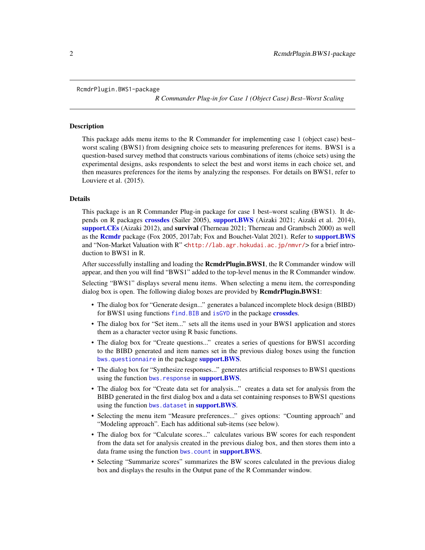#### <span id="page-1-0"></span>RcmdrPlugin.BWS1-package

*R Commander Plug-in for Case 1 (Object Case) Best–Worst Scaling*

#### Description

This package adds menu items to the R Commander for implementing case 1 (object case) best– worst scaling (BWS1) from designing choice sets to measuring preferences for items. BWS1 is a question-based survey method that constructs various combinations of items (choice sets) using the experimental designs, asks respondents to select the best and worst items in each choice set, and then measures preferences for the items by analyzing the responses. For details on BWS1, refer to Louviere et al. (2015).

#### Details

This package is an R Commander Plug-in package for case 1 best–worst scaling (BWS1). It depends on R packages [crossdes](#page-0-0) (Sailer 2005), [support.BWS](#page-0-0) (Aizaki 2021; Aizaki et al. 2014), [support.CEs](#page-0-0) (Aizaki 2012), and survival (Therneau 2021; Therneau and Grambsch 2000) as well as the [Rcmdr](#page-0-0) package (Fox 2005, 2017ab; Fox and Bouchet-Valat 2021). Refer to [support.BWS](#page-0-0) and "Non-Market Valuation with R" <<http://lab.agr.hokudai.ac.jp/nmvr/>>for a brief introduction to BWS1 in R.

After successfully installing and loading the **RemdrPlugin.BWS1**, the R Commander window will appear, and then you will find "BWS1" added to the top-level menus in the R Commander window.

Selecting "BWS1" displays several menu items. When selecting a menu item, the corresponding dialog box is open. The following dialog boxes are provided by **RemdrPlugin.BWS1**:

- The dialog box for "Generate design..." generates a balanced incomplete block design (BIBD) for BWS1 using functions [find.BIB](#page-0-0) and [isGYD](#page-0-0) in the package [crossdes](#page-0-0).
- The dialog box for "Set item..." sets all the items used in your BWS1 application and stores them as a character vector using R basic functions.
- The dialog box for "Create questions..." creates a series of questions for BWS1 according to the BIBD generated and item names set in the previous dialog boxes using the function [bws.questionnaire](#page-0-0) in the package [support.BWS](#page-0-0).
- The dialog box for "Synthesize responses..." generates artificial responses to BWS1 questions using the function [bws.response](#page-0-0) in [support.BWS](#page-0-0).
- The dialog box for "Create data set for analysis..." creates a data set for analysis from the BIBD generated in the first dialog box and a data set containing responses to BWS1 questions using the function [bws.dataset](#page-0-0) in [support.BWS](#page-0-0).
- Selecting the menu item "Measure preferences..." gives options: "Counting approach" and "Modeling approach". Each has additional sub-items (see below).
- The dialog box for "Calculate scores..." calculates various BW scores for each respondent from the data set for analysis created in the previous dialog box, and then stores them into a data frame using the function [bws.count](#page-0-0) in **[support.BWS](#page-0-0)**.
- Selecting "Summarize scores" summarizes the BW scores calculated in the previous dialog box and displays the results in the Output pane of the R Commander window.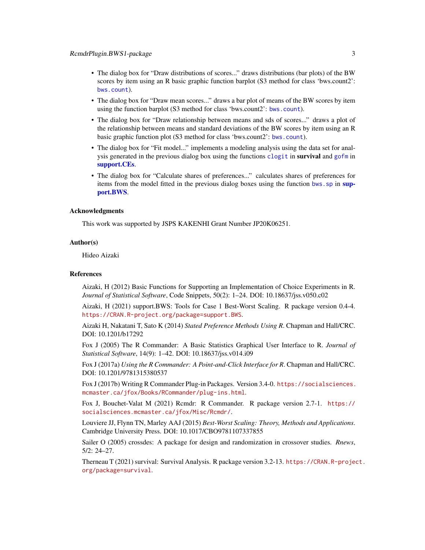- <span id="page-2-0"></span>• The dialog box for "Draw distributions of scores..." draws distributions (bar plots) of the BW scores by item using an R basic graphic function barplot (S3 method for class 'bws.count2': [bws.count](#page-0-0)).
- The dialog box for "Draw mean scores..." draws a bar plot of means of the BW scores by item using the function barplot (S3 method for class 'bws.count2': [bws.count](#page-0-0)).
- The dialog box for "Draw relationship between means and sds of scores..." draws a plot of the relationship between means and standard deviations of the BW scores by item using an R basic graphic function plot (S3 method for class 'bws.count2': [bws.count](#page-0-0)).
- The dialog box for "Fit model..." implements a modeling analysis using the data set for analysis generated in the previous dialog box using the functions [clogit](#page-0-0) in survival and [gofm](#page-0-0) in [support.CEs](#page-0-0).
- The dialog box for "Calculate shares of preferences..." calculates shares of preferences for items from the model fitted in the previous dialog boxes using the function bws. sp in [sup](#page-0-0)[port.BWS](#page-0-0).

#### Acknowledgments

This work was supported by JSPS KAKENHI Grant Number JP20K06251.

#### Author(s)

Hideo Aizaki

#### **References**

Aizaki, H (2012) Basic Functions for Supporting an Implementation of Choice Experiments in R. *Journal of Statistical Software*, Code Snippets, 50(2): 1–24. DOI: 10.18637/jss.v050.c02

Aizaki, H (2021) support.BWS: Tools for Case 1 Best-Worst Scaling. R package version 0.4-4. <https://CRAN.R-project.org/package=support.BWS>.

Aizaki H, Nakatani T, Sato K (2014) *Stated Preference Methods Using R*. Chapman and Hall/CRC. DOI: 10.1201/b17292

Fox J (2005) The R Commander: A Basic Statistics Graphical User Interface to R. *Journal of Statistical Software*, 14(9): 1–42. DOI: 10.18637/jss.v014.i09

Fox J (2017a) *Using the R Commander: A Point-and-Click Interface for R*. Chapman and Hall/CRC. DOI: 10.1201/9781315380537

Fox J (2017b) Writing R Commander Plug-in Packages. Version 3.4-0. [https://socialsciences.](https://socialsciences.mcmaster.ca/jfox/Books/RCommander/plug-ins.html) [mcmaster.ca/jfox/Books/RCommander/plug-ins.html](https://socialsciences.mcmaster.ca/jfox/Books/RCommander/plug-ins.html).

Fox J, Bouchet-Valat M (2021) Rcmdr: R Commander. R package version 2.7-1. [https://](https://socialsciences.mcmaster.ca/jfox/Misc/Rcmdr/) [socialsciences.mcmaster.ca/jfox/Misc/Rcmdr/](https://socialsciences.mcmaster.ca/jfox/Misc/Rcmdr/).

Louviere JJ, Flynn TN, Marley AAJ (2015) *Best-Worst Scaling: Theory, Methods and Applications*. Cambridge University Press. DOI: 10.1017/CBO9781107337855

Sailer O (2005) crossdes: A package for design and randomization in crossover studies. *Rnews*, 5/2: 24–27.

Therneau T (2021) survival: Survival Analysis. R package version 3.2-13. [https://CRAN.R-projec](https://CRAN.R-project.org/package=survival)t. [org/package=survival](https://CRAN.R-project.org/package=survival).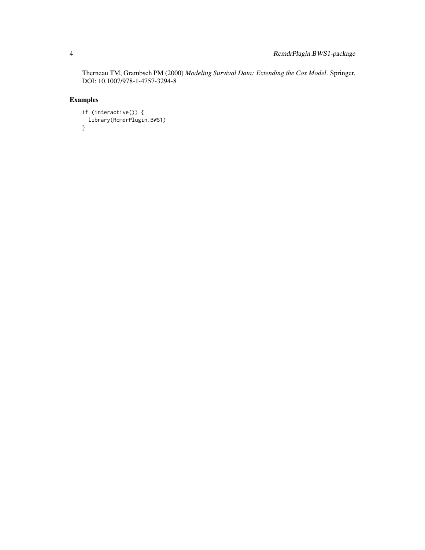Therneau TM, Grambsch PM (2000) *Modeling Survival Data: Extending the Cox Model*. Springer. DOI: 10.1007/978-1-4757-3294-8

### Examples

```
if (interactive()) {
  library(RcmdrPlugin.BWS1)
}
```